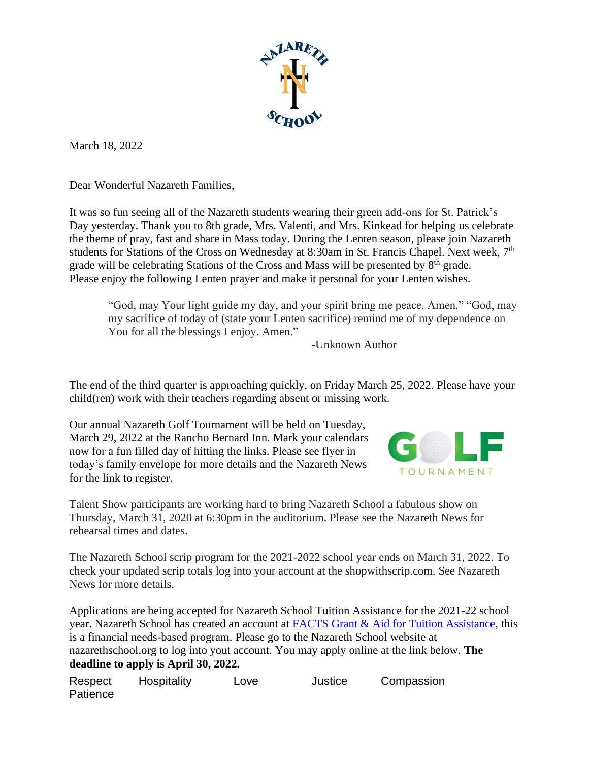

March 18, 2022

Dear Wonderful Nazareth Families,

It was so fun seeing all of the Nazareth students wearing their green add-ons for St. Patrick's Day yesterday. Thank you to 8th grade, Mrs. Valenti, and Mrs. Kinkead for helping us celebrate the theme of pray, fast and share in Mass today. During the Lenten season, please join Nazareth students for Stations of the Cross on Wednesday at 8:30am in St. Francis Chapel. Next week, 7<sup>th</sup> grade will be celebrating Stations of the Cross and Mass will be presented by 8<sup>th</sup> grade. Please enjoy the following Lenten prayer and make it personal for your Lenten wishes.

"God, may Your light guide my day, and your spirit bring me peace. Amen." "God, may my sacrifice of today of (state your Lenten sacrifice) remind me of my dependence on You for all the blessings I enjoy. Amen."

-Unknown Author

The end of the third quarter is approaching quickly, on Friday March 25, 2022. Please have your child(ren) work with their teachers regarding absent or missing work.

Our annual Nazareth Golf Tournament will be held on Tuesday, March 29, 2022 at the Rancho Bernard Inn. Mark your calendars now for a fun filled day of hitting the links. Please see flyer in today's family envelope for more details and the Nazareth News for the link to register.



Talent Show participants are working hard to bring Nazareth School a fabulous show on Thursday, March 31, 2020 at 6:30pm in the auditorium. Please see the Nazareth News for rehearsal times and dates.

The Nazareth School scrip program for the 2021-2022 school year ends on March 31, 2022. To check your updated scrip totals log into your account at the shopwithscrip.com. See Nazareth News for more details.

Applications are being accepted for Nazareth School Tuition Assistance for the 2021-22 school year. Nazareth School has created an account at [FACTS Grant & Aid for Tuition Assistance,](https://online.factsmgt.com/signin/3F7C4) this is a financial needs-based program. Please go to the Nazareth School website at nazarethschool.org to log into yout account. You may apply online at the link below. **The deadline to apply is April 30, 2022.** 

Respect Hospitality Love Justice Compassion **Patience**